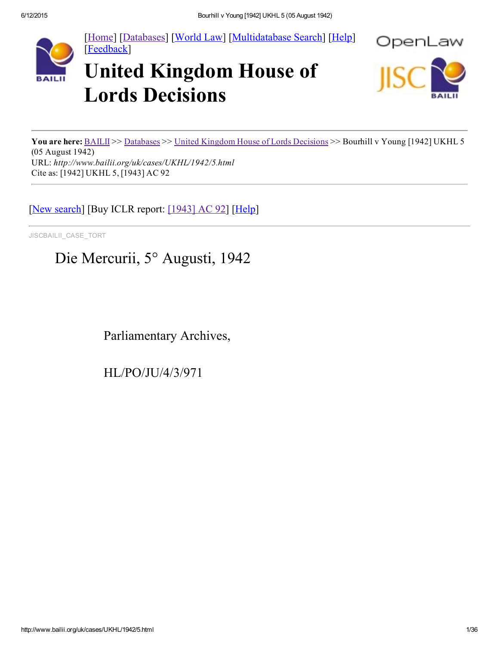[\[Home\]](http://www.bailii.org/) [[Databases\]](http://www.bailii.org/databases.html) [\[World](http://www.austlii.edu.au/links/World/) Law] [\[Multidatabase](http://www.bailii.org/form/search_multidatabase.html) Search] [\[Help\]](http://www.bailii.org/bailii/help/) [\[Feedback\]](http://www.bailii.org/bailii/feedback.html)



United Kingdom House of Lords Decisions



You are here: **[BAILII](http://www.bailii.org/)** >> [Databases](http://www.bailii.org/databases.html) >> United Kingdom House of Lords [Decisions](http://www.bailii.org/uk/cases/UKHL/) >> Bourhill v Young [1942] UKHL 5 (05 August 1942) URL: http://www.bailii.org/uk/cases/UKHL/1942/5.html Cite as: [1942] UKHL 5, [1943] AC 92

[New [search\]](http://www.bailii.org/form/search_cases.html) [Buy ICLR report: [\[1943\]](https://shop.iclr.co.uk/Subscr/welcome.aspx?docId=XAC1943-1-92) AC 92] [\[Help\]](http://www.bailii.org/bailii/help/)

JISCBAILII\_CASE\_TORT

Die Mercurii, 5° Augusti, 1942

Parliamentary Archives,

HL/PO/JU/4/3/971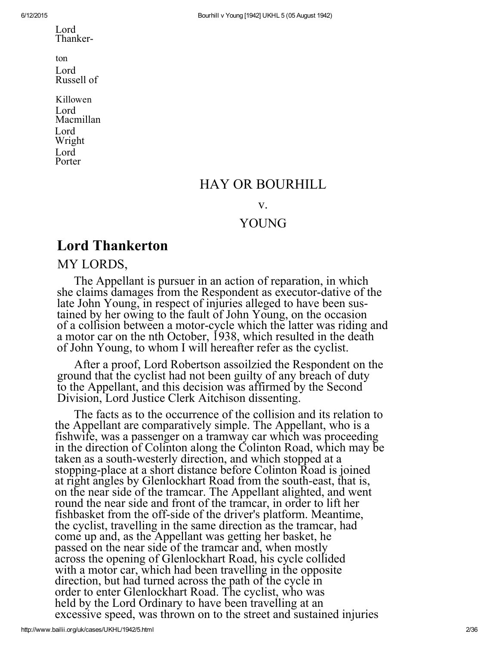Lord Thanker-

ton Lord Russell of

Killowen Lord Macmillan Lord Wright Lord Porter

### HAY OR BOURHILL

v.

### YOUNG

### Lord Thankerton

#### MY LORDS,

The Appellant is pursuer in an action of reparation, in which she claims damages from the Respondent as executor-dative of the late John Young, in respect of injuries alleged to have been sustained by her owing to the fault of John Young, on the occasion of a collision between a motor-cycle which the latter was riding and a motor car on the nth October, 1938, which resulted in the death of John Young, to whom I will hereafter refer as the cyclist.

After a proof, Lord Robertson assoilzied the Respondent on the ground that the cyclist had not been guilty of any breach of duty to the Appellant, and this decision was affirmed by the Second Division, Lord Justice Clerk Aitchison dissenting.

The facts as to the occurrence of the collision and its relation to the Appellant are comparatively simple. The Appellant, who is a fishwife, was a passenger on a tramway car which was proceeding in the direction of Colinton along the Colinton Road, which may be taken as a south-westerly direction, and which stopped at a stopping-place at a short distance before Colinton Road is joined at right angles by Glenlockhart Road from the southeast, that is, on the near side of the tramcar. The Appellant alighted, and went round the near side and front of the tramcar, in order to lift her fishbasket from the off-side of the driver's platform. Meantime, the cyclist, travelling in the same direction as the tramcar, had come up and, as the Appellant was getting her basket, he passed on the near side of the tramcar and, when mostly across the opening of Glenlockhart Road, his cycle collided with a motor car, which had been travelling in the opposite direction, but had turned across the path of the cycle in order to enter Glenlockhart Road. The cyclist, who was held by the Lord Ordinary to have been travelling at an excessive speed, was thrown on to the street and sustained injuries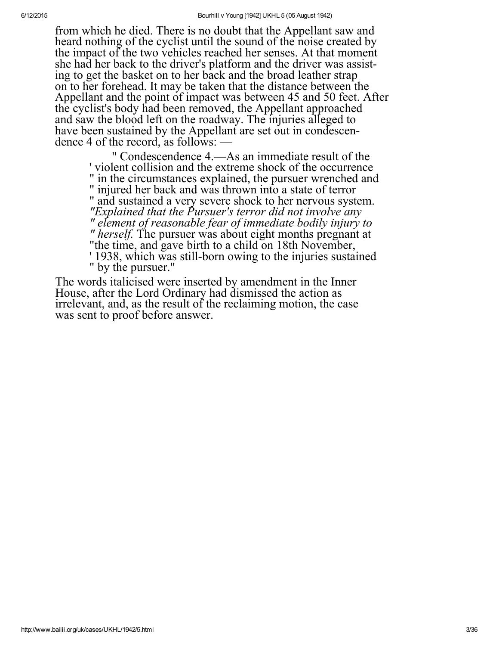from which he died. There is no doubt that the Appellant saw and heard nothing of the cyclist until the sound of the noise created by the impact of the two vehicles reached her senses. At that moment she had her back to the driver's platform and the driver was assisting to get the basket on to her back and the broad leather strap on to her forehead. It may be taken that the distance between the Appellant and the point of impact was between 45 and 50 feet. After the cyclist's body had been removed, the Appellant approached and saw the blood left on the roadway. The injuries alleged to have been sustained by the Appellant are set out in condescendence 4 of the record, as follows: —

" Condescendence 4.—As an immediate result of the ' violent collision and the extreme shock of the occurrence " in the circumstances explained, the pursuer wrenched and " injured her back and was thrown into a state of terror " and sustained a very severe shock to her nervous system. "Explained that the Pursuer's terror did not involve any " element of reasonable fear of immediate bodily injury to " herself. The pursuer was about eight months pregnant at "the time, and gave birth to a child on 18th November, ' 1938, which was still-born owing to the injuries sustained " by the pursuer."

The words italicised were inserted by amendment in the Inner House, after the Lord Ordinary had dismissed the action as irrelevant, and, as the result of the reclaiming motion, the case was sent to proof before answer.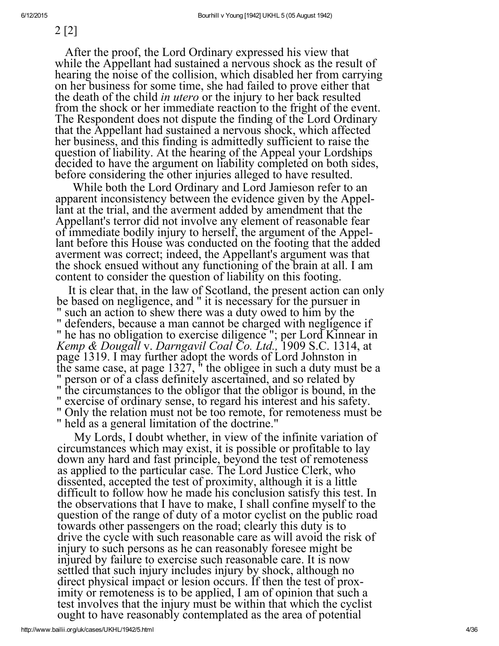#### 2 [2]

After the proof, the Lord Ordinary expressed his view that while the Appellant had sustained a nervous shock as the result of hearing the noise of the collision, which disabled her from carrying on her business for some time, she had failed to prove either that the death of the child in utero or the injury to her back resulted from the shock or her immediate reaction to the fright of the event. The Respondent does not dispute the finding of the Lord Ordinary that the Appellant had sustained a nervous shock, which affected her business, and this finding is admittedly sufficient to raise the question of liability. At the hearing of the Appeal your Lordships decided to have the argument on liability completed on both sides, before considering the other injuries alleged to have resulted.

While both the Lord Ordinary and Lord Jamieson refer to an apparent inconsistency between the evidence given by the Appellant at the trial, and the averment added by amendment that the Appellant's terror did not involve any element of reasonable fear of immediate bodily injury to herself, the argument of the Appellant before this House was conducted on the footing that the added averment was correct; indeed, the Appellant's argument was that the shock ensued without any functioning of the brain at all. I am content to consider the question of liability on this footing.

It is clear that, in the law of Scotland, the present action can only be based on negligence, and " it is necessary for the pursuer in " such an action to shew there was a duty owed to him by the " defenders, because a man cannot be charged with negligence if " he has no obligation to exercise diligence "; per Lord Kinnear in Kemp & Dougall v. Darngavil Coal Co. Ltd., 1909 S.C. 1314, at page 1319. I may further adopt the words of Lord Johnston in the same case, at page 1327, " the obligee in such a duty must be a " person or of a class definitely ascertained, and so related by " the circumstances to the obligor that the obligor is bound, in the " exercise of ordinary sense, to regard his interest and his safety. " Only the relation must not be too remote, for remoteness must be " held as a general limitation of the doctrine."

My Lords, I doubt whether, in view of the infinite variation of circumstances which may exist, it is possible or profitable to lay down any hard and fast principle, beyond the test of remoteness as applied to the particular case. The Lord Justice Clerk, who dissented, accepted the test of proximity, although it is a little difficult to follow how he made his conclusion satisfy this test. In the observations that I have to make, I shall confine myself to the question of the range of duty of a motor cyclist on the public road towards other passengers on the road; clearly this duty is to drive the cycle with such reasonable care as will avoid the risk of injury to such persons as he can reasonably foresee might be injured by failure to exercise such reasonable care. It is now settled that such injury includes injury by shock, although no direct physical impact or lesion occurs. If then the test of proximity or remoteness is to be applied, I am of opinion that such a test involves that the injury must be within that which the cyclist ought to have reasonably contemplated as the area of potential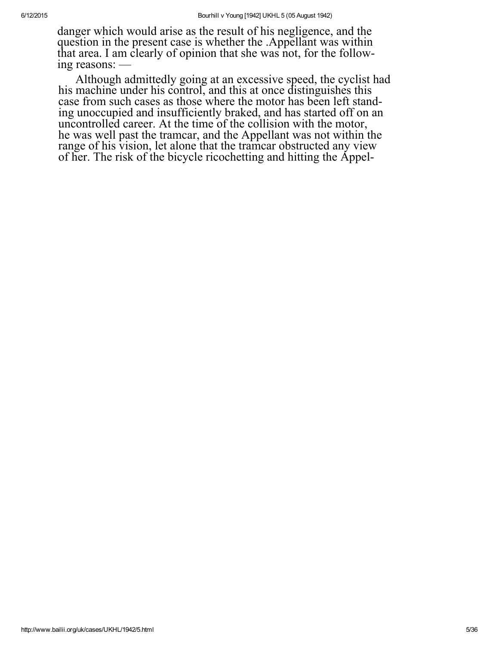danger which would arise as the result of his negligence, and the question in the present case is whether the .Appellant was within that area. I am clearly of opinion that she was not, for the following reasons: —

Although admittedly going at an excessive speed, the cyclist had his machine under his control, and this at once distinguishes this case from such cases as those where the motor has been left standing unoccupied and insufficiently braked, and has started off on an uncontrolled career. At the time of the collision with the motor, he was well past the tramcar, and the Appellant was not within the range of his vision, let alone that the tramcar obstructed any view of her. The risk of the bicycle ricochetting and hitting the Appel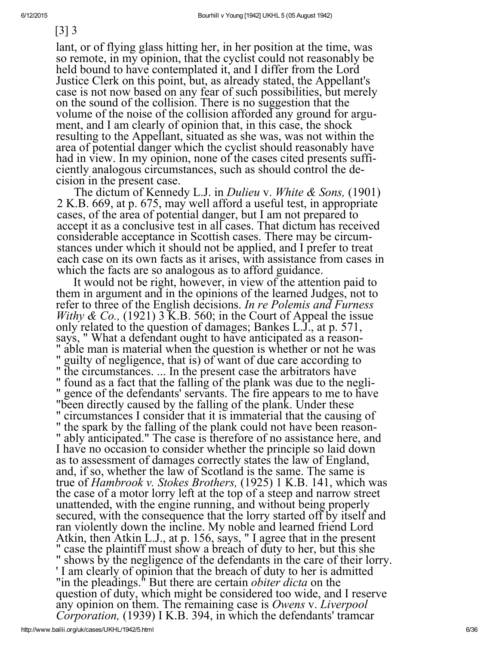#### [3] 3

lant, or of flying glass hitting her, in her position at the time, was so remote, in my opinion, that the cyclist could not reasonably be held bound to have contemplated it, and I differ from the Lord Justice Clerk on this point, but, as already stated, the Appellant's case is not now based on any fear of such possibilities, but merely on the sound of the collision. There is no suggestion that the volume of the noise of the collision afforded any ground for argument, and I am clearly of opinion that, in this case, the shock resulting to the Appellant, situated as she was, was not within the area of potential danger which the cyclist should reasonably have had in view. In my opinion, none of the cases cited presents sufficiently analogous circumstances, such as should control the decision in the present case.

The dictum of Kennedy L.J. in *Dulieu v. White & Sons*,  $(1901)$ 2 K.B. 669, at p. 675, may well afford a useful test, in appropriate cases, of the area of potential danger, but I am not prepared to accept it as a conclusive test in all cases. That dictum has received considerable acceptance in Scottish cases. There may be circumstances under which it should not be applied, and I prefer to treat each case on its own facts as it arises, with assistance from cases in which the facts are so analogous as to afford guidance.

It would not be right, however, in view of the attention paid to them in argument and in the opinions of the learned Judges, not to refer to three of the English decisions. In re Polemis and Furness *Withy & Co.*, (1921) 3 K.B. 560; in the Court of Appeal the issue only related to the question of damages; Bankes L.J., at p. 571, says, " What a defendant ought to have anticipated as a reason able man is material when the question is whether or not he was guilty of negligence, that is) of want of due care according to " the circumstances. ... In the present case the arbitrators have " found as a fact that the falling of the plank was due to the negli gence of the defendants' servants. The fire appears to me to have "been directly caused by the falling of the plank. Under these " circumstances I consider that it is immaterial that the causing of " the spark by the falling of the plank could not have been reason " ably anticipated." The case is therefore of no assistance here, and I have no occasion to consider whether the principle so laid down as to assessment of damages correctly states the law of England, and, if so, whether the law of Scotland is the same. The same is true of Hambrook v. Stokes Brothers, (1925) 1 K.B. 141, which was the case of a motor lorry left at the top of a steep and narrow street unattended, with the engine running, and without being properly secured, with the consequence that the lorry started off by itself and ran violently down the incline. My noble and learned friend Lord Atkin, then Atkin L.J., at p. 156, says, " I agree that in the present case the plaintiff must show a breach of duty to her, but this she " shows by the negligence of the defendants in the care of their lorry. ' I am clearly of opinion that the breach of duty to her is admitted "in the pleadings." But there are certain *obiter dicta* on the question of duty, which might be considered too wide, and I reserve any opinion on them. The remaining case is Owens v. Liverpool Corporation, (1939) I K.B. 394, in which the defendants' tramcar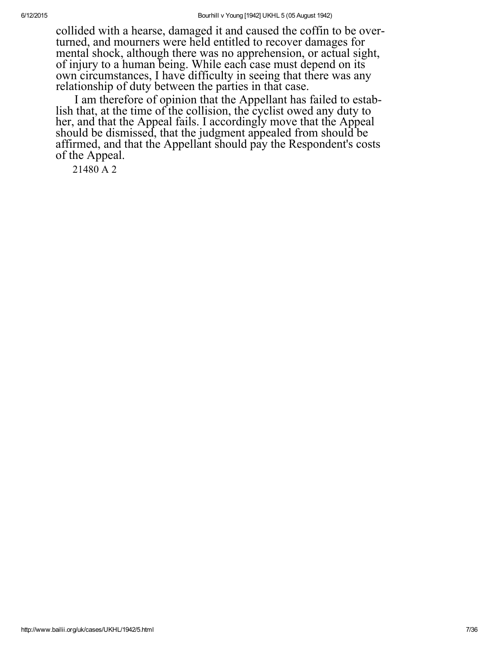collided with a hearse, damaged it and caused the coffin to be overturned, and mourners were held entitled to recover damages for mental shock, although there was no apprehension, or actual sight, of injury to a human being. While each case must depend on its own circumstances, I have difficulty in seeing that there was any relationship of duty between the parties in that case.

I am therefore of opinion that the Appellant has failed to establish that, at the time of the collision, the cyclist owed any duty to her, and that the Appeal fails. I accordingly move that the Appeal should be dismissed, that the judgment appealed from should be affirmed, and that the Appellant should pay the Respondent's costs of the Appeal.

21480 A 2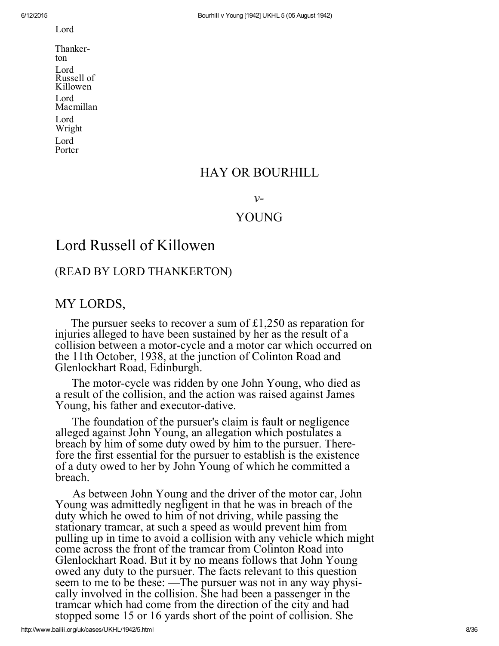6/12/2015 Bourhill v Young [1942] UKHL 5 (05 August 1942)

Lord

Thankerton Lord Russell of Killowen Lord Macmillan Lord Wright Lord Porter

#### HAY OR BOURHILL

 $v-$ 

#### YOUNG

### Lord Russell of Killowen

#### (READ BY LORD THANKERTON)

#### MY LORDS,

The pursuer seeks to recover a sum of £1,250 as reparation for injuries alleged to have been sustained by her as the result of a collision between a motor-cycle and a motor car which occurred on the 11th October, 1938, at the junction of Colinton Road and Glenlockhart Road, Edinburgh.

The motor-cycle was ridden by one John Young, who died as a result of the collision, and the action was raised against James Young, his father and executor-dative.

The foundation of the pursuer's claim is fault or negligence alleged against John Young, an allegation which postulates a breach by him of some duty owed by him to the pursuer. Therefore the first essential for the pursuer to establish is the existence of a duty owed to her by John Young of which he committed a breach.

As between John Young and the driver of the motor car, John Young was admittedly negligent in that he was in breach of the duty which he owed to him of not driving, while passing the stationary tramcar, at such a speed as would prevent him from pulling up in time to avoid a collision with any vehicle which might come across the front of the tramcar from Colinton Road into Glenlockhart Road. But it by no means follows that John Young owed any duty to the pursuer. The facts relevant to this question seem to me to be these: —The pursuer was not in any way physically involved in the collision. She had been a passenger in the tramcar which had come from the direction of the city and had stopped some 15 or 16 yards short of the point of collision. She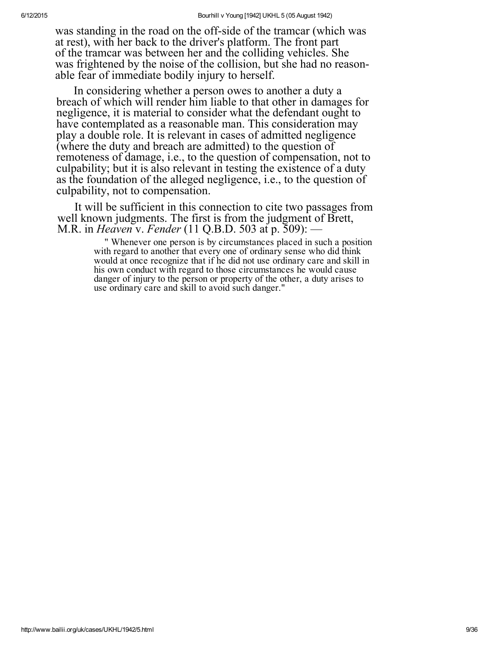was standing in the road on the off-side of the tramcar (which was at rest), with her back to the driver's platform. The front part of the tramcar was between her and the colliding vehicles. She was frightened by the noise of the collision, but she had no reasonable fear of immediate bodily injury to herself.

In considering whether a person owes to another a duty a breach of which will render him liable to that other in damages for negligence, it is material to consider what the defendant ought to have contemplated as a reasonable man. This consideration may play a double role. It is relevant in cases of admitted negligence (where the duty and breach are admitted) to the question of remoteness of damage, i.e., to the question of compensation, not to culpability; but it is also relevant in testing the existence of a duty as the foundation of the alleged negligence, i.e., to the question of culpability, not to compensation.

It will be sufficient in this connection to cite two passages from well known judgments. The first is from the judgment of Brett, M.R. in Heaven v. Fender (11 Q.B.D. 503 at p. 509): —

> " Whenever one person is by circumstances placed in such a position with regard to another that every one of ordinary sense who did think would at once recognize that if he did not use ordinary care and skill in his own conduct with regard to those circumstances he would cause danger of injury to the person or property of the other, a duty arises to use ordinary care and skill to avoid such danger."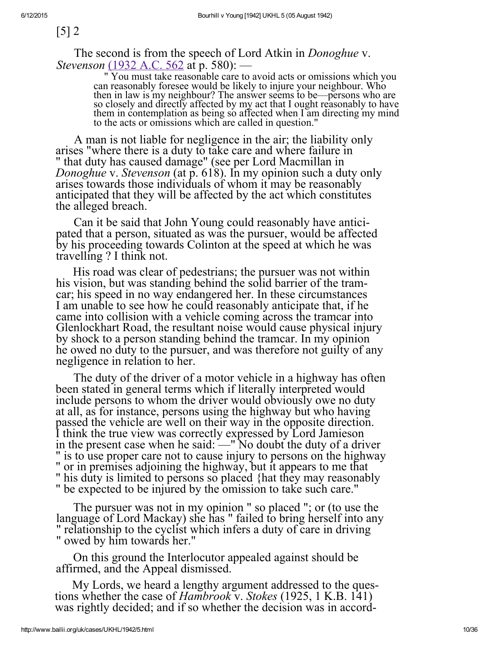[5] 2

The second is from the speech of Lord Atkin in *Donoghue* v. Stevenson [\(1932](http://www.bailii.org/uk/cases/UKHL/1932/100.html) A.C. 562 at p. 580): —

" You must take reasonable care to avoid acts or omissions which you can reasonably foresee would be likely to injure your neighbour. Who then in law is my neighbour? The answer seems to be—persons who are so closely and directly affected by my act that I ought reasonably to have them in contemplation as being so affected when I am directing my mind to the acts or omissions which are called in question."

A man is not liable for negligence in the air; the liability only arises "where there is a duty to take care and where failure in " that duty has caused damage" (see per Lord Macmillan in Donoghue v. Stevenson (at p. 618). In my opinion such a duty only arises towards those individuals of whom it may be reasonably anticipated that they will be affected by the act which constitutes the alleged breach.

Can it be said that John Young could reasonably have anticipated that a person, situated as was the pursuer, would be affected by his proceeding towards Colinton at the speed at which he was travelling ? I think not.

His road was clear of pedestrians; the pursuer was not within his vision, but was standing behind the solid barrier of the tramcar; his speed in no way endangered her. In these circumstances I am unable to see how he could reasonably anticipate that, if he came into collision with a vehicle coming across the tramcar into Glenlockhart Road, the resultant noise would cause physical injury by shock to a person standing behind the tramcar. In my opinion he owed no duty to the pursuer, and was therefore not guilty of any negligence in relation to her.

The duty of the driver of a motor vehicle in a highway has often been stated in general terms which if literally interpreted would include persons to whom the driver would obviously owe no duty at all, as for instance, persons using the highway but who having passed the vehicle are well on their way in the opposite direction. I think the true view was correctly expressed by Lord Jamieson in the present case when he said: —" No doubt the duty of a driver " is to use proper care not to cause injury to persons on the highway " or in premises adjoining the highway, but it appears to me that " his duty is limited to persons so placed {hat they may reasonably " be expected to be injured by the omission to take such care."

The pursuer was not in my opinion " so placed "; or (to use the language of Lord Mackay) she has " failed to bring herself into any " relationship to the cyclist which infers a duty of care in driving " owed by him towards her."

On this ground the Interlocutor appealed against should be affirmed, and the Appeal dismissed.

My Lords, we heard a lengthy argument addressed to the questions whether the case of *Hambrook v. Stokes* (1925, 1 K.B. 141) was rightly decided; and if so whether the decision was in accord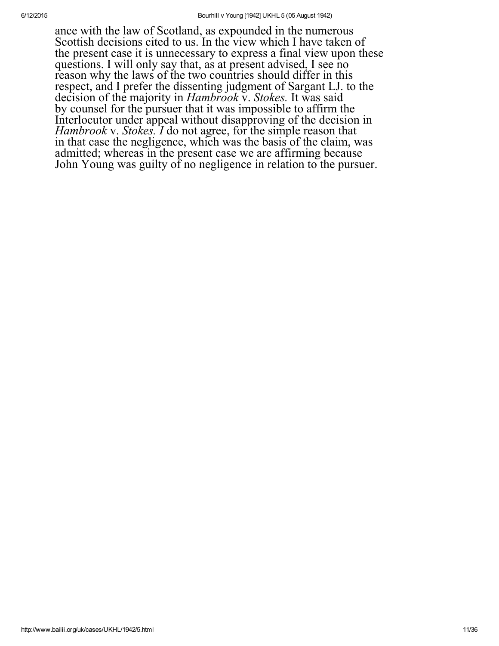6/12/2015 Bourhill v Young [1942] UKHL 5 (05 August 1942)

ance with the law of Scotland, as expounded in the numerous Scottish decisions cited to us. In the view which I have taken of the present case it is unnecessary to express a final view upon these questions. I will only say that, as at present advised, I see no reason why the laws of the two countries should differ in this respect, and I prefer the dissenting judgment of Sargant LJ. to the decision of the majority in Hambrook v. Stokes. It was said by counsel for the pursuer that it was impossible to affirm the Interlocutor under appeal without disapproving of the decision in Hambrook v. Stokes. I do not agree, for the simple reason that in that case the negligence, which was the basis of the claim, was admitted; whereas in the present case we are affirming because John Young was guilty of no negligence in relation to the pursuer.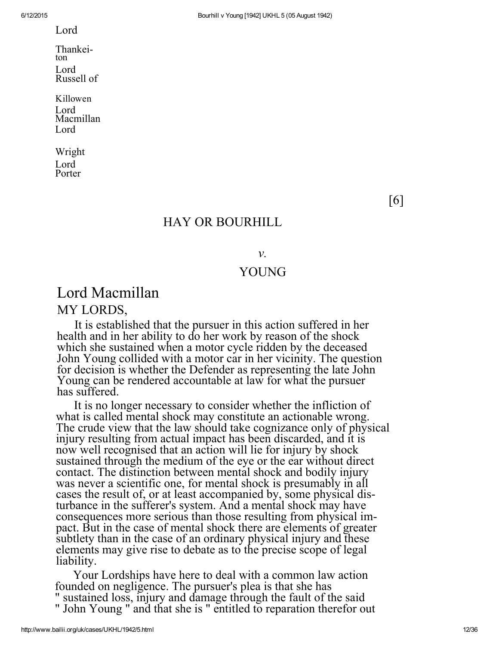6/12/2015 Bourhill v Young [1942] UKHL 5 (05 August 1942)

Lord

Thankeiton Lord Russell of

Killowen Lord Macmillan Lord

Wright Lord Porter

[6]

#### HAY OR BOURHILL

 $\nu$ .

### YOUNG

## Lord Macmillan MY LORDS,

It is established that the pursuer in this action suffered in her health and in her ability to do her work by reason of the shock which she sustained when a motor cycle ridden by the deceased John Young collided with a motor car in her vicinity. The question for decision is whether the Defender as representing the late John Young can be rendered accountable at law for what the pursuer has suffered.

It is no longer necessary to consider whether the infliction of what is called mental shock may constitute an actionable wrong. The crude view that the law should take cognizance only of physical injury resulting from actual impact has been discarded, and it is now well recognised that an action will lie for injury by shock sustained through the medium of the eye or the ear without direct contact. The distinction between mental shock and bodily injury was never a scientific one, for mental shock is presumably in all cases the result of, or at least accompanied by, some physical disturbance in the sufferer's system. And a mental shock may have consequences more serious than those resulting from physical impact. But in the case of mental shock there are elements of greater subtlety than in the case of an ordinary physical injury and these elements may give rise to debate as to the precise scope of legal liability.

Your Lordships have here to deal with a common law action founded on negligence. The pursuer's plea is that she has " sustained loss, injury and damage through the fault of the said " John Young " and that she is " entitled to reparation therefor out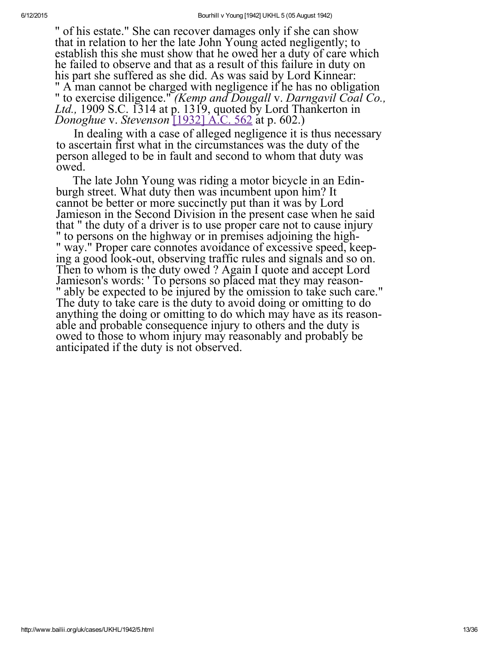" of his estate." She can recover damages only if she can show that in relation to her the late John Young acted negligently; to establish this she must show that he owed her a duty of care which he failed to observe and that as a result of this failure in duty on his part she suffered as she did. As was said by Lord Kinnear: " A man cannot be charged with negligence if he has no obligation " to exercise diligence." (Kemp and Dougall v. Darngavil Coal Co., Ltd., 1909 S.C. 1314 at p. 1319, quoted by Lord Thankerton in Donoghue v. Stevenson  $1932$  A.C. 562 at p. 602.)

In dealing with a case of alleged negligence it is thus necessary to ascertain first what in the circumstances was the duty of the person alleged to be in fault and second to whom that duty was owed.

The late John Young was riding a motor bicycle in an Edinburgh street. What duty then was incumbent upon him? It cannot be better or more succinctly put than it was by Lord Jamieson in the Second Division in the present case when he said that " the duty of a driver is to use proper care not to cause injury " to persons on the highway or in premises adjoining the high " way." Proper care connotes avoidance of excessive speed, keeping a good look-out, observing traffic rules and signals and so on. Then to whom is the duty owed ? Again I quote and accept Lord Jamieson's words: ' To persons so placed mat they may reason " ably be expected to be injured by the omission to take such care." The duty to take care is the duty to avoid doing or omitting to do anything the doing or omitting to do which may have as its reasonable and probable consequence injury to others and the duty is owed to those to whom injury may reasonably and probably be anticipated if the duty is not observed.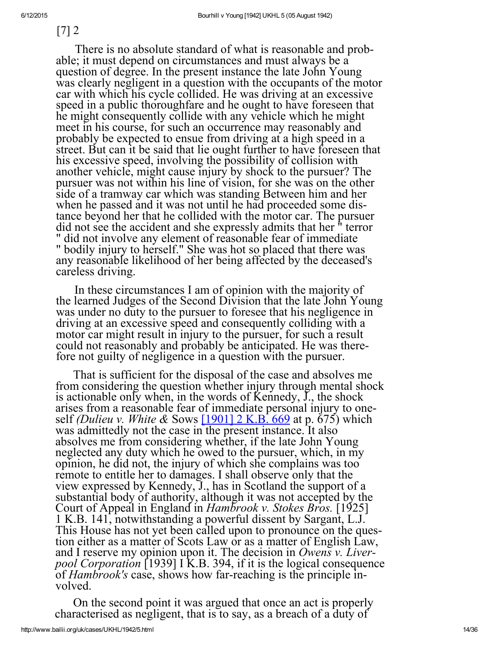#### [7] 2

There is no absolute standard of what is reasonable and probable; it must depend on circumstances and must always be a question of degree. In the present instance the late John Young was clearly negligent in a question with the occupants of the motor car with which his cycle collided. He was driving at an excessive speed in a public thoroughfare and he ought to have foreseen that he might consequently collide with any vehicle which he might meet in his course, for such an occurrence may reasonably and probably be expected to ensue from driving at a high speed in a street. But can it be said that lie ought further to have foreseen that his excessive speed, involving the possibility of collision with another vehicle, might cause injury by shock to the pursuer? The pursuer was not within his line of vision, for she was on the other side of a tramway car which was standing Between him and her when he passed and it was not until he had proceeded some distance beyond her that he collided with the motor car. The pursuer did not see the accident and she expressly admits that her " terror did not involve any element of reasonable fear of immediate " bodily injury to herself." She was hot so placed that there was any reasonable likelihood of her being affected by the deceased's careless driving.

In these circumstances I am of opinion with the majority of the learned Judges of the Second Division that the late John Young was under no duty to the pursuer to foresee that his negligence in driving at an excessive speed and consequently colliding with a motor car might result in injury to the pursuer, for such a result could not reasonably and probably be anticipated. He was therefore not guilty of negligence in a question with the pursuer.

That is sufficient for the disposal of the case and absolves me from considering the question whether injury through mental shock is actionable only when, in the words of Kennedy, J., the shock arises from a reasonable fear of immediate personal injury to oneself *(Dulieu v. White &* Sows  $[1901]$  2 K.B. 669 at p. 675) which was admittedly not the case in the present instance. It also absolves me from considering whether, if the late John Young neglected any duty which he owed to the pursuer, which, in my opinion, he did not, the injury of which she complains was too remote to entitle her to damages. I shall observe only that the view expressed by Kennedy, J., has in Scotland the support of a substantial body of authority, although it was not accepted by the Court of Appeal in England in *Hambrook v. Stokes Bros.* [1925] 1 K.B. 141, notwithstanding a powerful dissent by Sargant, L.J. This House has not yet been called upon to pronounce on the question either as a matter of Scots Law or as a matter of English Law, and I reserve my opinion upon it. The decision in Owens v. Liverpool Corporation [1939] I K.B. 394, if it is the logical consequence of *Hambrook's* case, shows how far-reaching is the principle involved.

On the second point it was argued that once an act is properly characterised as negligent, that is to say, as a breach of a duty of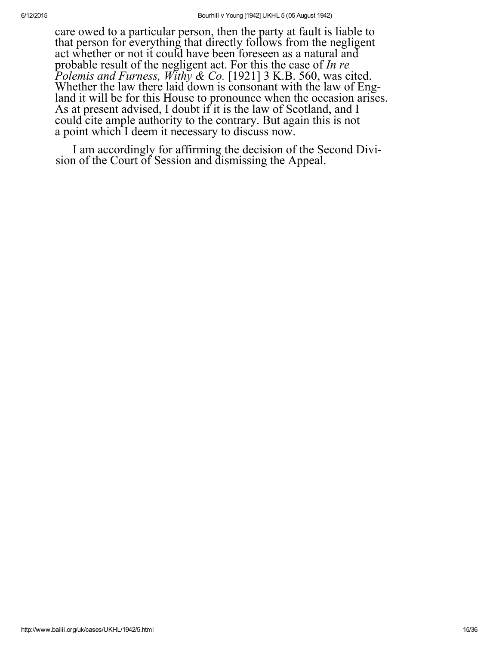care owed to a particular person, then the party at fault is liable to that person for everything that directly follows from the negligent act whether or not it could have been foreseen as a natural and probable result of the negligent act. For this the case of In re Polemis and Furness, Withy & Co. [1921] 3 K.B. 560, was cited. Whether the law there laid down is consonant with the law of England it will be for this House to pronounce when the occasion arises. As at present advised, I doubt if it is the law of Scotland, and I could cite ample authority to the contrary. But again this is not a point which I deem it necessary to discuss now.

I am accordingly for affirming the decision of the Second Division of the Court of Session and dismissing the Appeal.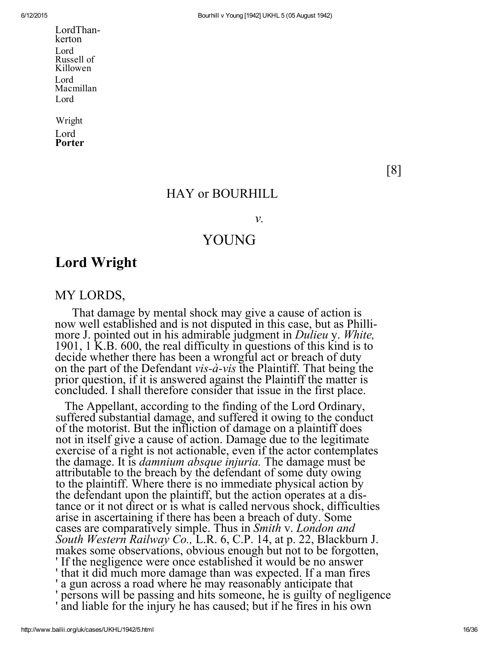Wright Lord Porter

[8]

#### HAY or BOURHILL

 $\nu$ .

### YOUNG

### Lord Wright

#### MY LORDS,

That damage by mental shock may give a cause of action is now well established and is not disputed in this case, but as Phillimore J. pointed out in his admirable judgment in *Dulieu y. White*, 1901, 1 K.B. 600, the real difficulty in questions of this kind is to decide whether there has been a wrongful act or breach of duty on the part of the Defendant vis- $\dot{a}$ -vis the Plaintiff. That being the prior question, if it is answered against the Plaintiff the matter is concluded. I shall therefore consider that issue in the first place.

The Appellant, according to the finding of the Lord Ordinary, suffered substantial damage, and suffered it owing to the conduct of the motorist. But the infliction of damage on a plaintiff does not in itself give a cause of action. Damage due to the legitimate exercise of a right is not actionable, even if the actor contemplates the damage. It is damnium absque injuria. The damage must be attributable to the breach by the defendant of some duty owing to the plaintiff. Where there is no immediate physical action by the defendant upon the plaintiff, but the action operates at a distance or it not direct or is what is called nervous shock, difficulties arise in ascertaining if there has been a breach of duty. Some cases are comparatively simple. Thus in Smith v. London and South Western Railway Co., L.R. 6, C.P. 14, at p. 22, Blackburn J. makes some observations, obvious enough but not to be forgotten, ' If the negligence were once established it would be no answer ' that it did much more damage than was expected. If a man fires ' a gun across a road where he may reasonably anticipate that ' persons will be passing and hits someone, he is guilty of negligence 'and liable for the injury he has caused; but if he fires in his own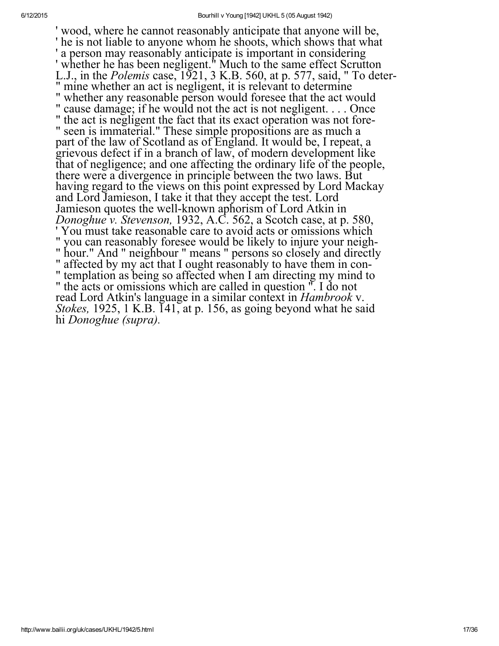' wood, where he cannot reasonably anticipate that anyone will be, ' he is not liable to anyone whom he shoots, which shows that what ' a person may reasonably anticipate is important in considering ' whether he has been negligent." Much to the same effect Scrutton L.J., in the *Polemis* case, 1921, 3 K.B. 560, at p. 577, said, " To deter-" mine whether an act is negligent, it is relevant to determine " whether any reasonable person would foresee that the act would " cause damage; if he would not the act is not negligent. . . . Once " the act is negligent the fact that its exact operation was not fore " seen is immaterial." These simple propositions are as much a part of the law of Scotland as of England. It would be, I repeat, a grievous defect if in a branch of law, of modern development like that of negligence; and one affecting the ordinary life of the people, there were a divergence in principle between the two laws. But having regard to the views on this point expressed by Lord Mackay and Lord Jamieson, I take it that they accept the test. Lord Jamieson quotes the well-known aphorism of Lord Atkin in Donoghue v. Stevenson, 1932, A.C. 562, a Scotch case, at p. 580, ' You must take reasonable care to avoid acts or omissions which " you can reasonably foresee would be likely to injure your neigh " hour." And " neighbour " means " persons so closely and directly " affected by my act that I ought reasonably to have them in con " templation as being so affected when I am directing my mind to " the acts or omissions which are called in question ". I do not read Lord Atkin's language in a similar context in Hambrook v. Stokes, 1925, 1 K.B. 141, at p. 156, as going beyond what he said hi Donoghue (supra).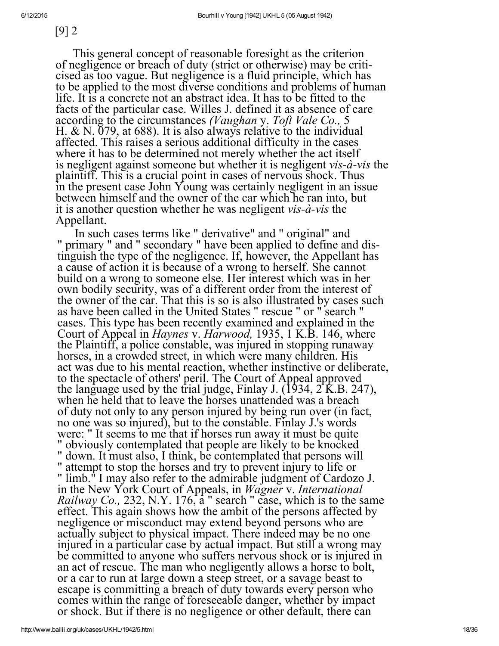#### [9] 2

This general concept of reasonable foresight as the criterion of negligence or breach of duty (strict or otherwise) may be criticised as too vague. But negligence is a fluid principle, which has to be applied to the most diverse conditions and problems of human life. It is a concrete not an abstract idea. It has to be fitted to the facts of the particular case. Willes J. defined it as absence of care according to the circumstances (Vaughan y. Toft Vale Co., 5 H. & N. 079, at 688). It is also always relative to the individual affected. This raises a serious additional difficulty in the cases where it has to be determined not merely whether the act itself is negligent against someone but whether it is negligent *vis-à-vis* the plaintiff. This is a crucial point in cases of nervous shock. Thus in the present case John Young was certainly negligent in an issue between himself and the owner of the car which he ran into, but it is another question whether he was negligent *vis-à-vis* the Appellant.

In such cases terms like " derivative" and " original" and " primary " and " secondary " have been applied to define and distinguish the type of the negligence. If, however, the Appellant has a cause of action it is because of a wrong to herself. She cannot build on a wrong to someone else. Her interest which was in her own bodily security, was of a different order from the interest of the owner of the car. That this is so is also illustrated by cases such as have been called in the United States " rescue " or " search " cases. This type has been recently examined and explained in the Court of Appeal in Haynes v. Harwood, 1935, 1 K.B. 146, where the Plaintiff, a police constable, was injured in stopping runaway horses, in a crowded street, in which were many children. His act was due to his mental reaction, whether instinctive or deliberate, to the spectacle of others' peril. The Court of Appeal approved the language used by the trial judge, Finlay J. (1934, 2 K.B. 247), when he held that to leave the horses unattended was a breach of duty not only to any person injured by being run over (in fact, no one was so injured), but to the constable. Finlay J.'s words were: " It seems to me that if horses run away it must be quite " obviously contemplated that people are likely to be knocked " down. It must also, I think, be contemplated that persons will " attempt to stop the horses and try to prevent injury to life or " limb." I may also refer to the admirable judgment of Cardozo J. in the New York Court of Appeals, in Wagner v. International *Railway Co.*, 232, N.Y. 176,  $\overline{a}$  " search " case, which is to the same effect. This again shows how the ambit of the persons affected by negligence or misconduct may extend beyond persons who are actually subject to physical impact. There indeed may be no one injured in a particular case by actual impact. But still a wrong may be committed to anyone who suffers nervous shock or is injured in an act of rescue. The man who negligently allows a horse to bolt, or a car to run at large down a steep street, or a savage beast to escape is committing a breach of duty towards every person who comes within the range of foreseeable danger, whether by impact or shock. But if there is no negligence or other default, there can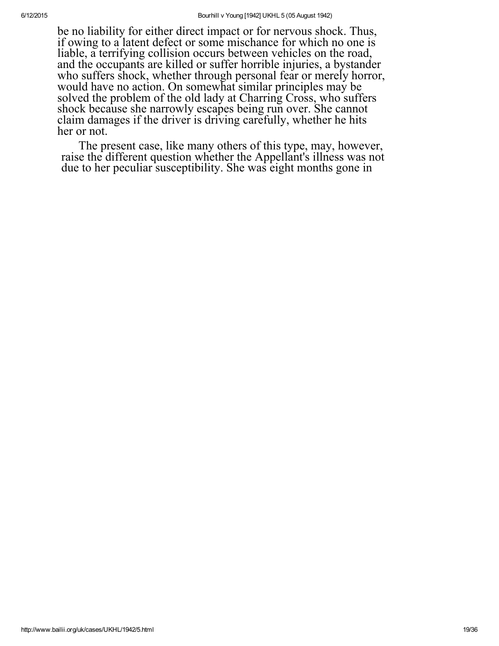6/12/2015 Bourhill v Young [1942] UKHL 5 (05 August 1942)

be no liability for either direct impact or for nervous shock. Thus, if owing to a latent defect or some mischance for which no one is liable, a terrifying collision occurs between vehicles on the road, and the occupants are killed or suffer horrible injuries, a bystander who suffers shock, whether through personal fear or merely horror, would have no action. On somewhat similar principles may be solved the problem of the old lady at Charring Cross, who suffers shock because she narrowly escapes being run over. She cannot claim damages if the driver is driving carefully, whether he hits her or not.

The present case, like many others of this type, may, however, raise the different question whether the Appellant's illness was not due to her peculiar susceptibility. She was eight months gone in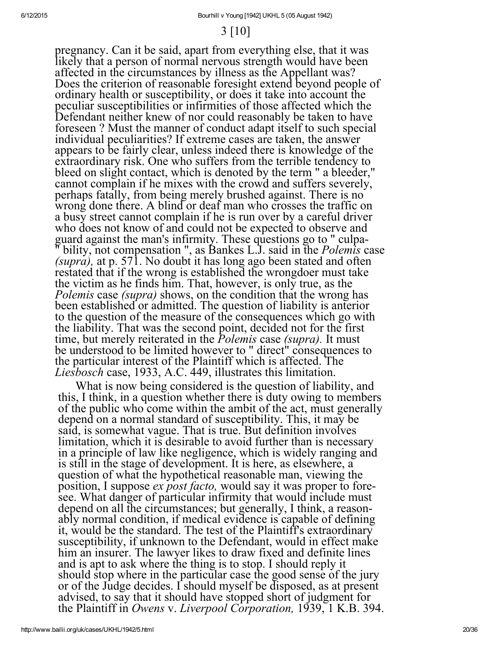### 3 [10]

pregnancy. Can it be said, apart from everything else, that it was likely that a person of normal nervous strength would have been affected in the circumstances by illness as the Appellant was? Does the criterion of reasonable foresight extend beyond people of ordinary health or susceptibility, or does it take into account the peculiar susceptibilities or infirmities of those affected which the Defendant neither knew of nor could reasonably be taken to have foreseen ? Must the manner of conduct adapt itself to such special individual peculiarities? If extreme cases are taken, the answer appears to be fairly clear, unless indeed there is knowledge of the extraordinary risk. One who suffers from the terrible tendency to bleed on slight contact, which is denoted by the term " a bleeder," cannot complain if he mixes with the crowd and suffers severely, perhaps fatally, from being merely brushed against. There is no wrong done there. A blind or deaf man who crosses the traffic on a busy street cannot complain if he is run over by a careful driver who does not know of and could not be expected to observe and guard against the man's infirmity. These questions go to " culpa bility, not compensation ", as Bankes L.J. said in the *Polemis* case (*supra*), at p. 571. No doubt it has long ago been stated and often restated that if the wrong is established the wrongdoer must take the victim as he finds him. That, however, is only true, as the *Polemis* case *(supra)* shows, on the condition that the wrong has been established or admitted. The question of liability is anterior to the question of the measure of the consequences which go with the liability. That was the second point, decided not for the first time, but merely reiterated in the *Polemis* case *(supra)*. It must be understood to be limited however to " direct" consequences to the particular interest of the Plaintiff which is affected. The Liesbosch case, 1933, A.C. 449, illustrates this limitation.

What is now being considered is the question of liability, and this, I think, in a question whether there is duty owing to members of the public who come within the ambit of the act, must generally depend on a normal standard of susceptibility. This, it may be said, is somewhat vague. That is true. But definition involves limitation, which it is desirable to avoid further than is necessary in a principle of law like negligence, which is widely ranging and is still in the stage of development. It is here, as elsewhere, a question of what the hypothetical reasonable man, viewing the position, I suppose *ex post facto*, would say it was proper to foresee. What danger of particular infirmity that would include must depend on all the circumstances; but generally, I think, a reasonably normal condition, if medical evidence is capable of defining it, would be the standard. The test of the Plaintiff's extraordinary susceptibility, if unknown to the Defendant, would in effect make him an insurer. The lawyer likes to draw fixed and definite lines and is apt to ask where the thing is to stop. I should reply it should stop where in the particular case the good sense of the jury or of the Judge decides. I should myself be disposed, as at present advised, to say that it should have stopped short of judgment for the Plaintiff in Owens v. Liverpool Corporation, 1939, 1 K.B. 394.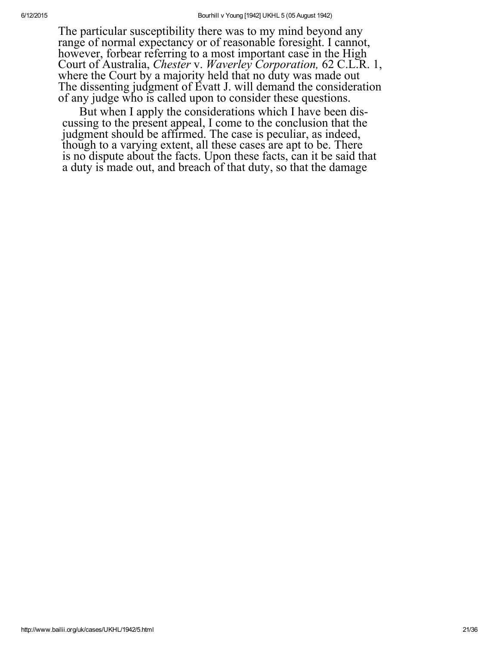The particular susceptibility there was to my mind beyond any range of normal expectancy or of reasonable foresight. I cannot, however, forbear referring to a most important case in the High Court of Australia, Chester v. Waverley Corporation, 62 C.L.R. 1, where the Court by a majority held that no duty was made out The dissenting judgment of Evatt J. will demand the consideration of any judge who is called upon to consider these questions.

But when I apply the considerations which I have been discussing to the present appeal, I come to the conclusion that the judgment should be affirmed. The case is peculiar, as indeed, though to a varying extent, all these cases are apt to be. There is no dispute about the facts. Upon these facts, can it be said that a duty is made out, and breach of that duty, so that the damage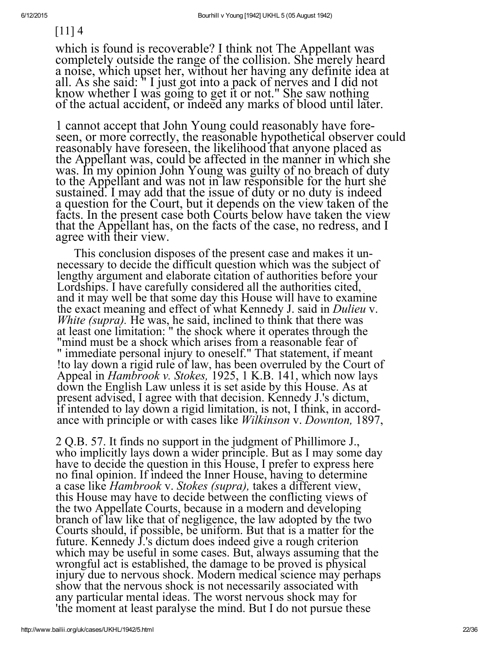### [11] 4

which is found is recoverable? I think not The Appellant was completely outside the range of the collision. She merely heard a noise, which upset her, without her having any definite idea at all. As she said: " I just got into a pack of nerves and I did not know whether I was going to get it or not." She saw nothing of the actual accident, or indeed any marks of blood until later.

1 cannot accept that John Young could reasonably have foreseen, or more correctly, the reasonable hypothetical observer could reasonably have foreseen, the likelihood that anyone placed as the Appellant was, could be affected in the manner in which she was. In my opinion John Young was guilty of no breach of duty to the Appellant and was not in law responsible for the hurt she sustained. I may add that the issue of duty or no duty is indeed a question for the Court, but it depends on the view taken of the facts. In the present case both Courts below have taken the view that the Appellant has, on the facts of the case, no redress, and I agree with their view.

This conclusion disposes of the present case and makes it unnecessary to decide the difficult question which was the subject of lengthy argument and elaborate citation of authorities before your Lordships. I have carefully considered all the authorities cited, and it may well be that some day this House will have to examine the exact meaning and effect of what Kennedy J. said in Dulieu v. White (supra). He was, he said, inclined to think that there was at least one limitation: " the shock where it operates through the "mind must be a shock which arises from a reasonable fear of " immediate personal injury to oneself." That statement, if meant !to lay down a rigid rule of law, has been overruled by the Court of Appeal in Hambrook v. Stokes, 1925, 1 K.B. 141, which now lays down the English Law unless it is set aside by this House. As at present advised, I agree with that decision. Kennedy J.'s dictum, if intended to lay down a rigid limitation, is not, I think, in accordance with principle or with cases like Wilkinson v. Downton, 1897,

2 Q.B. 57. It finds no support in the judgment of Phillimore J., who implicitly lays down a wider principle. But as I may some day have to decide the question in this House, I prefer to express here no final opinion. If indeed the Inner House, having to determine a case like Hambrook v. Stokes (supra), takes a different view, this House may have to decide between the conflicting views of the two Appellate Courts, because in a modern and developing branch of law like that of negligence, the law adopted by the two Courts should, if possible, be uniform. But that is a matter for the future. Kennedy J.'s dictum does indeed give a rough criterion which may be useful in some cases. But, always assuming that the wrongful act is established, the damage to be proved is physical injury due to nervous shock. Modern medical science may perhaps show that the nervous shock is not necessarily associated with any particular mental ideas. The worst nervous shock may for 'the moment at least paralyse the mind. But I do not pursue these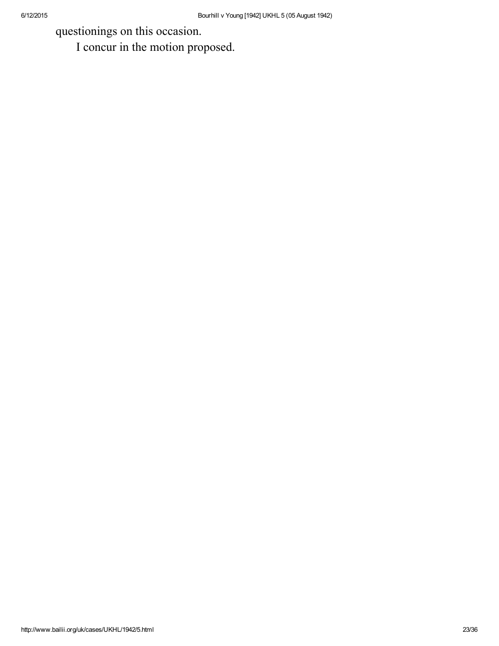questionings on this occasion.

I concur in the motion proposed.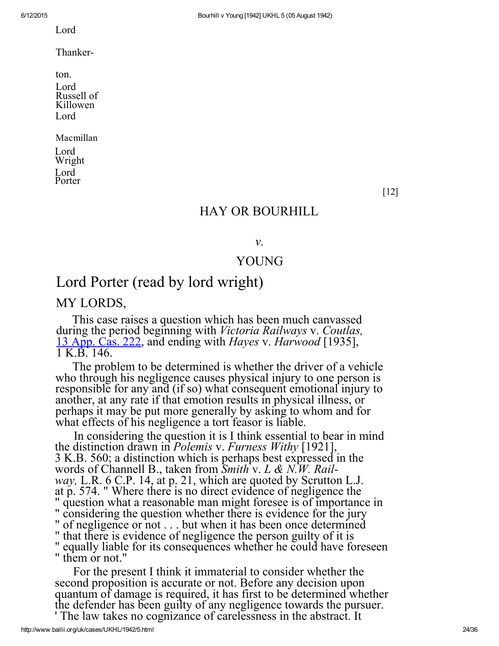6/12/2015 Bourhill v Young [1942] UKHL 5 (05 August 1942)

Lord

Thanker-

ton. Lord Russell of Killowen Lord

Macmillan Lord Wright Lord Porter

[12]

#### HAY OR BOURHILL

v.

#### YOUNG

### Lord Porter (read by lord wright)

MY LORDS,

This case raises a question which has been much canvassed during the period beginning with Victoria Railways v. Coutlas, 13 [App.](http://www.bailii.org/uk/cases/UKPC/1888/1888_3.html) Cas. 222, and ending with Hayes v. Harwood [1935], 1 K.B. 146.

The problem to be determined is whether the driver of a vehicle who through his negligence causes physical injury to one person is responsible for any and (if so) what consequent emotional injury to another, at any rate if that emotion results in physical illness, or perhaps it may be put more generally by asking to whom and for what effects of his negligence a tort feasor is liable.

In considering the question it is I think essential to bear in mind the distinction drawn in Polemis v. Furness Withy [1921], 3 K.B. 560; a distinction which is perhaps best expressed in the words of Channell B., taken from  $\overline{Smith}$  v. L & N.W. Rail*way*, L.R. 6 C.P. 14, at p. 21, which are quoted by Scrutton L.J. at p. 574. " Where there is no direct evidence of negligence the " question what a reasonable man might foresee is of importance in " considering the question whether there is evidence for the jury " of negligence or not . . . but when it has been once determined " that there is evidence of negligence the person guilty of it is " equally liable for its consequences whether he could have foreseen " them or not."

For the present I think it immaterial to consider whether the second proposition is accurate or not. Before any decision upon quantum of damage is required, it has first to be determined whether the defender has been guilty of any negligence towards the pursuer. ' The law takes no cognizance of carelessness in the abstract. It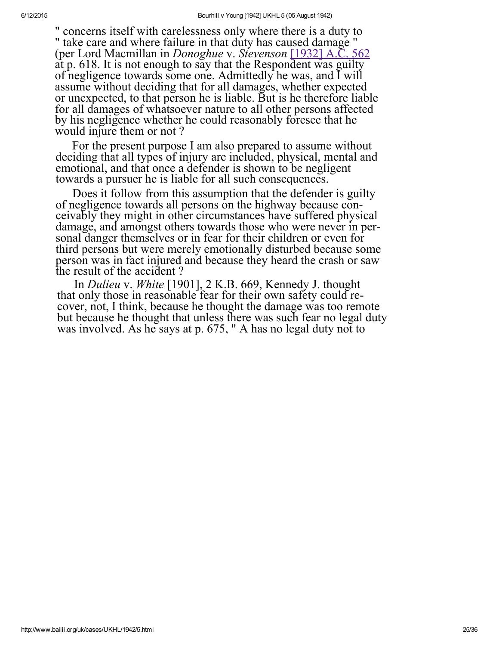" concerns itself with carelessness only where there is a duty to " take care and where failure in that duty has caused damage " (per Lord Macmillan in Donoghue v. Stevenson [\[1932\]](http://www.bailii.org/uk/cases/UKHL/1932/100.html) A.C. 562 at p. 618. It is not enough to say that the Respondent was guilty of negligence towards some one. Admittedly he was, and I will assume without deciding that for all damages, whether expected or unexpected, to that person he is liable. But is he therefore liable for all damages of whatsoever nature to all other persons affected by his negligence whether he could reasonably foresee that he would injure them or not ?

For the present purpose I am also prepared to assume without deciding that all types of injury are included, physical, mental and emotional, and that once a defender is shown to be negligent towards a pursuer he is liable for all such consequences.

Does it follow from this assumption that the defender is guilty of negligence towards all persons on the highway because conceivably they might in other circumstances have suffered physical damage, and amongst others towards those who were never in personal danger themselves or in fear for their children or even for third persons but were merely emotionally disturbed because some person was in fact injured and because they heard the crash or saw the result of the accident ?

In Dulieu v. White [1901], 2 K.B. 669, Kennedy J. thought that only those in reasonable fear for their own safety could recover, not, I think, because he thought the damage was too remote but because he thought that unless there was such fear no legal duty was involved. As he says at p. 675, " A has no legal duty not to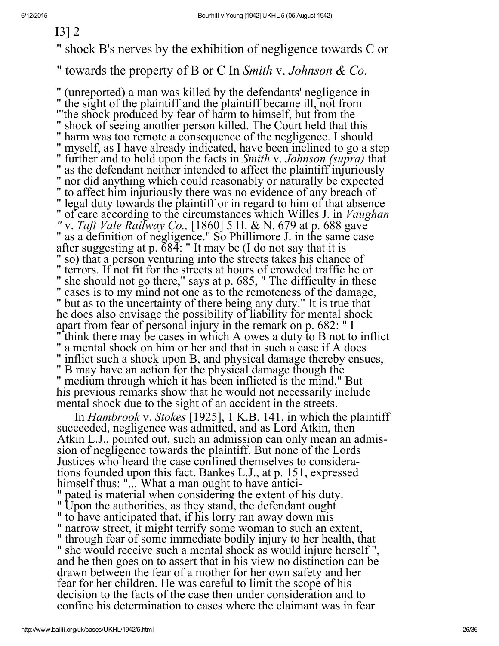#### I3] 2

### " shock B's nerves by the exhibition of negligence towards C or

#### " towards the property of B or C In Smith v. Johnson & Co.

" (unreported) a man was killed by the defendants' negligence in " the sight of the plaintiff and the plaintiff became ill, not from '"the shock produced by fear of harm to himself, but from the " shock of seeing another person killed. The Court held that this " harm was too remote a consequence of the negligence. I should " myself, as I have already indicated, have been inclined to go a step " further and to hold upon the facts in Smith v. Johnson (supra) that as the defendant neither intended to affect the plaintiff injuriously " nor did anything which could reasonably or naturally be expected " to affect him injuriously there was no evidence of any breach of " legal duty towards the plaintiff or in regard to him of that absence " of care according to the circumstances which Willes J. in Vaughan " v. Taft Vale Railway Co., [1860] 5 H. & N. 679 at p. 688 gave " as a definition of negligence." So Phillimore J. in the same case after suggesting at p. 684: " It may be (I do not say that it is so) that a person venturing into the streets takes his chance of " terrors. If not fit for the streets at hours of crowded traffic he or " she should not go there," says at p. 685, " The difficulty in these " cases is to my mind not one as to the remoteness of the damage, " but as to the uncertainty of there being any duty." It is true that he does also envisage the possibility of liability for mental shock apart from fear of personal injury in the remark on p. 682: " I think there may be cases in which A owes a duty to B not to inflict " a mental shock on him or her and that in such a case if A does inflict such a shock upon B, and physical damage thereby ensues, " B may have an action for the physical damage though the " medium through which it has been inflicted is the mind." But his previous remarks show that he would not necessarily include mental shock due to the sight of an accident in the streets.

In Hambrook v. Stokes [1925], 1 K.B. 141, in which the plaintiff succeeded, negligence was admitted, and as Lord Atkin, then Atkin L.J., pointed out, such an admission can only mean an admission of negligence towards the plaintiff. But none of the Lords Justices who heard the case confined themselves to considerations founded upon this fact. Bankes L.J., at p. 151, expressed himself thus: "... What a man ought to have antici-" pated is material when considering the extent of his duty. " Upon the authorities, as they stand, the defendant ought " to have anticipated that, if his lorry ran away down mis " narrow street, it might terrify some woman to such an extent, " through fear of some immediate bodily injury to her health, that " she would receive such a mental shock as would injure herself ", and he then goes on to assert that in his view no distinction can be drawn between the fear of a mother for her own safety and her fear for her children. He was careful to limit the scope of his decision to the facts of the case then under consideration and to confine his determination to cases where the claimant was in fear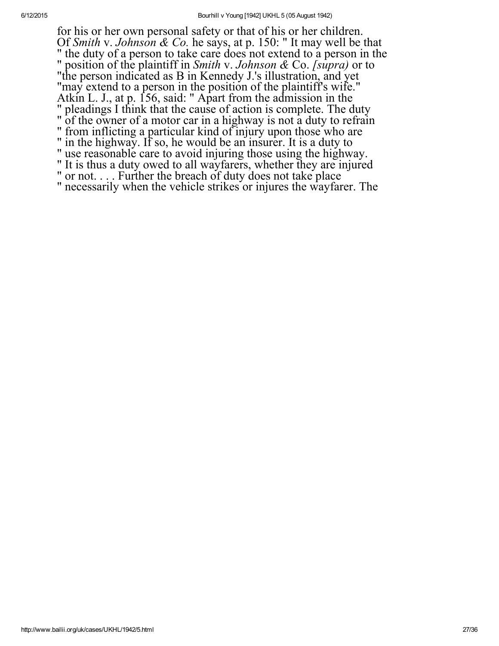for his or her own personal safety or that of his or her children. Of Smith v. Johnson & Co. he says, at p. 150: "It may well be that " the duty of a person to take care does not extend to a person in the " position of the plaintiff in Smith v. Johnson & Co. [supra) or to "the person indicated as B in Kennedy J.'s illustration, and yet "may extend to a person in the position of the plaintiff's wife." Atkin L. J., at p. 156, said: " Apart from the admission in the pleadings I think that the cause of action is complete. The duty " of the owner of a motor car in a highway is not a duty to refrain " from inflicting a particular kind of injury upon those who are " in the highway. If so, he would be an insurer. It is a duty to " use reasonable care to avoid injuring those using the highway. " It is thus a duty owed to all wayfarers, whether they are injured " or not. . . . Further the breach of duty does not take place " necessarily when the vehicle strikes or injures the wayfarer. The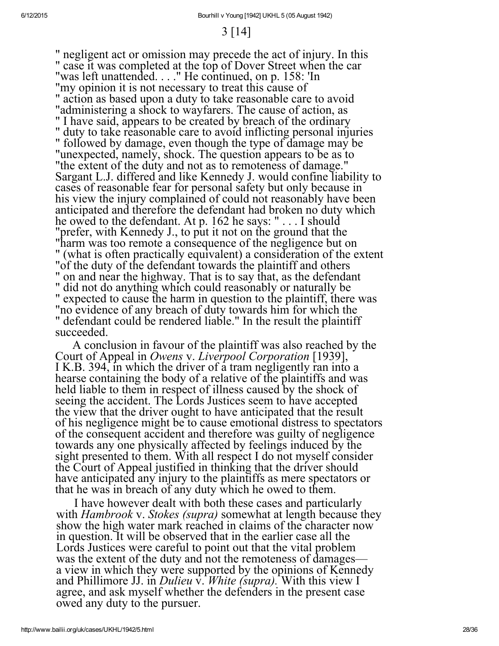#### 3 [14]

" negligent act or omission may precede the act of injury. In this " case it was completed at the top of Dover Street when the car "was left unattended. . . ." He continued, on p. 158: 'In "my opinion it is not necessary to treat this cause of " action as based upon a duty to take reasonable care to avoid "administering a shock to wayfarers. The cause of action, as " I have said, appears to be created by breach of the ordinary " duty to take reasonable care to avoid inflicting personal injuries " followed by damage, even though the type of damage may be "unexpected, namely, shock. The question appears to be as to "the extent of the duty and not as to remoteness of damage." Sargant L.J. differed and like Kennedy J. would confine liability to cases of reasonable fear for personal safety but only because in his view the injury complained of could not reasonably have been anticipated and therefore the defendant had broken no duty which he owed to the defendant. At p. 162 he says: "... I should "prefer, with Kennedy J., to put it not on the ground that the "harm was too remote a consequence of the negligence but on " (what is often practically equivalent) a consideration of the extent "of the duty of the defendant towards the plaintiff and others " on and near the highway. That is to say that, as the defendant " did not do anything which could reasonably or naturally be " expected to cause the harm in question to the plaintiff, there was "no evidence of any breach of duty towards him for which the " defendant could be rendered liable." In the result the plaintiff succeeded.

A conclusion in favour of the plaintiff was also reached by the Court of Appeal in Owens v. Liverpool Corporation [1939], I K.B. 394, in which the driver of a tram negligently ran into a hearse containing the body of a relative of the plaintiffs and was held liable to them in respect of illness caused by the shock of seeing the accident. The Lords Justices seem to have accepted the view that the driver ought to have anticipated that the result of his negligence might be to cause emotional distress to spectators of the consequent accident and therefore was guilty of negligence towards any one physically affected by feelings induced by the sight presented to them. With all respect I do not myself consider the Court of Appeal justified in thinking that the driver should have anticipated any injury to the plaintiffs as mere spectators or that he was in breach of any duty which he owed to them.

I have however dealt with both these cases and particularly with *Hambrook v. Stokes (supra)* somewhat at length because they show the high water mark reached in claims of the character now in question. It will be observed that in the earlier case all the Lords Justices were careful to point out that the vital problem was the extent of the duty and not the remoteness of damagesa view in which they were supported by the opinions of Kennedy and Phillimore JJ. in *Dulieu v. White (supra)*. With this view I agree, and ask myself whether the defenders in the present case owed any duty to the pursuer.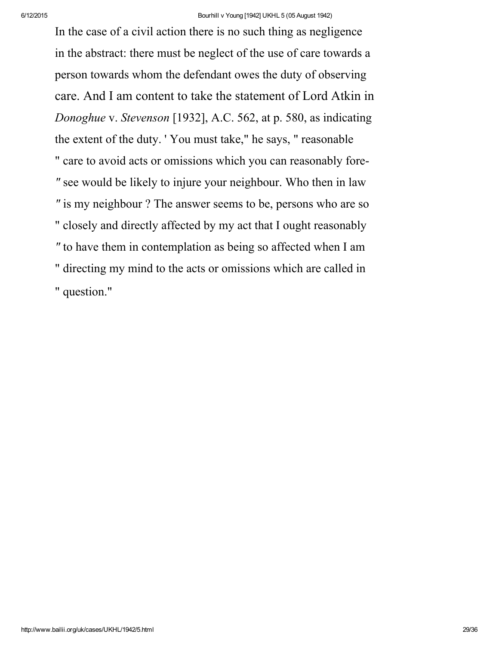#### 6/12/2015 Bourhill v Young [1942] UKHL 5 (05 August 1942)

In the case of a civil action there is no such thing as negligence in the abstract: there must be neglect of the use of care towards a person towards whom the defendant owes the duty of observing care. And I am content to take the statement of Lord Atkin in Donoghue v. Stevenson [1932], A.C. 562, at p. 580, as indicating the extent of the duty. ' You must take," he says, " reasonable " care to avoid acts or omissions which you can reasonably fore " see would be likely to injure your neighbour. Who then in law " is my neighbour ? The answer seems to be, persons who are so " closely and directly affected by my act that I ought reasonably " to have them in contemplation as being so affected when I am " directing my mind to the acts or omissions which are called in " question."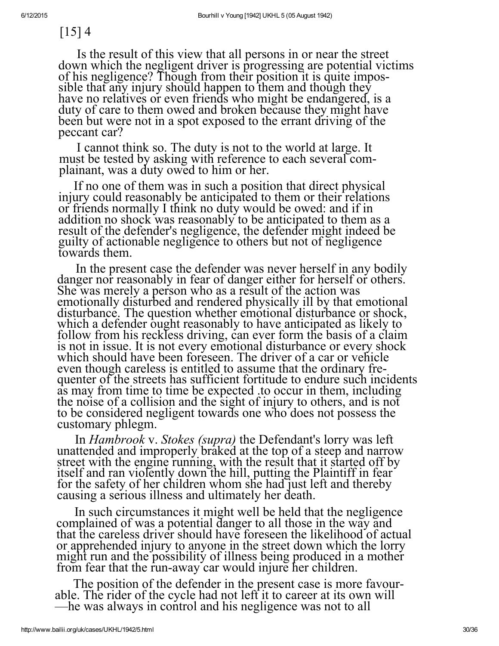### $[15] 4$

Is the result of this view that all persons in or near the street down which the negligent driver is progressing are potential victims of his negligence? Though from their position it is quite impossible that any injury should happen to them and though they have no relatives or even friends who might be endangered, is a duty of care to them owed and broken because they might have been but were not in a spot exposed to the errant driving of the peccant car?

I cannot think so. The duty is not to the world at large. It must be tested by asking with reference to each several complainant, was a duty owed to him or her.

If no one of them was in such a position that direct physical injury could reasonably be anticipated to them or their relations or friends normally I think no duty would be owed: and if in addition no shock was reasonably to be anticipated to them as a result of the defender's negligence, the defender might indeed be guilty of actionable negligence to others but not of negligence towards them.

In the present case the defender was never herself in any bodily danger nor reasonably in fear of danger either for herself or others. She was merely a person who as a result of the action was emotionally disturbed and rendered physically ill by that emotional disturbance. The question whether emotional disturbance or shock, which a defender ought reasonably to have anticipated as likely to follow from his reckless driving, can ever form the basis of a claim is not in issue. It is not every emotional disturbance or every shock which should have been foreseen. The driver of a car or vehicle even though careless is entitled to assume that the ordinary frequenter of the streets has sufficient fortitude to endure such incidents as may from time to time be expected .to occur in them, including the noise of a collision and the sight of injury to others, and is not to be considered negligent towards one who does not possess the customary phlegm.

In Hambrook v. Stokes (supra) the Defendant's lorry was left unattended and improperly braked at the top of a steep and narrow street with the engine running, with the result that it started off by itself and ran violently down the hill, putting the Plaintiff in fear for the safety of her children whom she had just left and thereby causing a serious illness and ultimately her death.

In such circumstances it might well be held that the negligence complained of was a potential danger to all those in the way and that the careless driver should have foreseen the likelihood of actual or apprehended injury to anyone in the street down which the lorry might run and the possibility of illness being produced in a mother from fear that the run-away car would injure her children.

The position of the defender in the present case is more favourable. The rider of the cycle had not left it to career at its own will —he was always in control and his negligence was not to all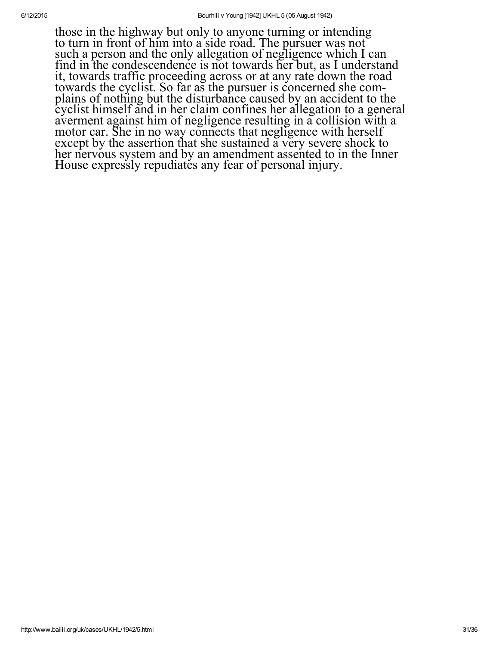those in the highway but only to anyone turning or intending to turn in front of him into a side road. The pursuer was not such a person and the only allegation of negligence which I can find in the condescendence is not towards her but, as I understand it, towards traffic proceeding across or at any rate down the road towards the cyclist. So far as the pursuer is concerned she complains of nothing but the disturbance caused by an accident to the cyclist himself and in her claim confines her allegation to a general averment against him of negligence resulting in a collision with a motor car. She in no way connects that negligence with herself except by the assertion that she sustained a very severe shock to her nervous system and by an amendment assented to in the Inner House expressly repudiates any fear of personal injury.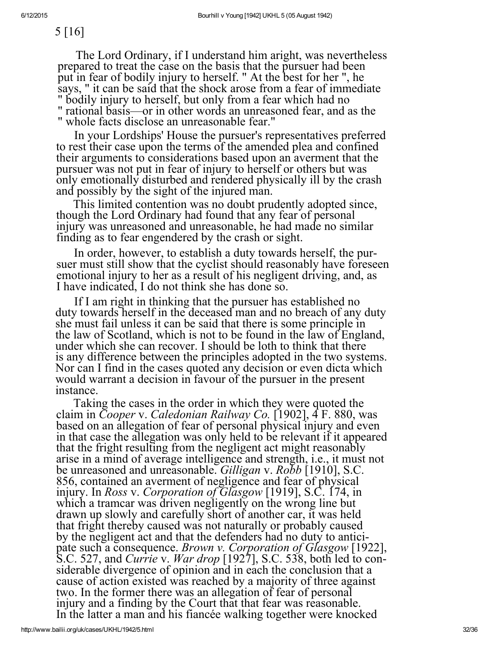#### 5 [16]

The Lord Ordinary, if I understand him aright, was nevertheless prepared to treat the case on the basis that the pursuer had been put in fear of bodily injury to herself. " At the best for her ", he says, " it can be said that the shock arose from a fear of immediate " bodily injury to herself, but only from a fear which had no " rational basis—or in other words an unreasoned fear, and as the " whole facts disclose an unreasonable fear."

In your Lordships' House the pursuer's representatives preferred to rest their case upon the terms of the amended plea and confined their arguments to considerations based upon an averment that the pursuer was not put in fear of injury to herself or others but was only emotionally disturbed and rendered physically ill by the crash and possibly by the sight of the injured man.

This limited contention was no doubt prudently adopted since, though the Lord Ordinary had found that any fear of personal injury was unreasoned and unreasonable, he had made no similar finding as to fear engendered by the crash or sight.

In order, however, to establish a duty towards herself, the pursuer must still show that the cyclist should reasonably have foreseen emotional injury to her as a result of his negligent driving, and, as I have indicated, I do not think she has done so.

If I am right in thinking that the pursuer has established no duty towards herself in the deceased man and no breach of any duty she must fail unless it can be said that there is some principle in the law of Scotland, which is not to be found in the law of England, under which she can recover. I should be loth to think that there is any difference between the principles adopted in the two systems. Nor can I find in the cases quoted any decision or even dicta which would warrant a decision in favour of the pursuer in the present instance.

Taking the cases in the order in which they were quoted the claim in Cooper v. Caledonian Railway Co. [1902], 4 F. 880, was based on an allegation of fear of personal physical injury and even in that case the allegation was only held to be relevant if it appeared that the fright resulting from the negligent act might reasonably arise in a mind of average intelligence and strength, i.e., it must not be unreasoned and unreasonable. Gilligan v. Robb [1910], S.C. 856, contained an averment of negligence and fear of physical injury. In Ross v. Corporation of Glasgow [1919], S.C. 174, in which a tramcar was driven negligently on the wrong line but drawn up slowly and carefully short of another car, it was held that fright thereby caused was not naturally or probably caused by the negligent act and that the defenders had no duty to anticipate such a consequence. *Brown v. Corporation of Glasgow* [1922], S.C. 527, and *Currie v. War drop* [1927], S.C. 538, both led to considerable divergence of opinion and in each the conclusion that a cause of action existed was reached by a majority of three against two. In the former there was an allegation of fear of personal injury and a finding by the Court that that fear was reasonable. In the latter a man and his fiancée walking together were knocked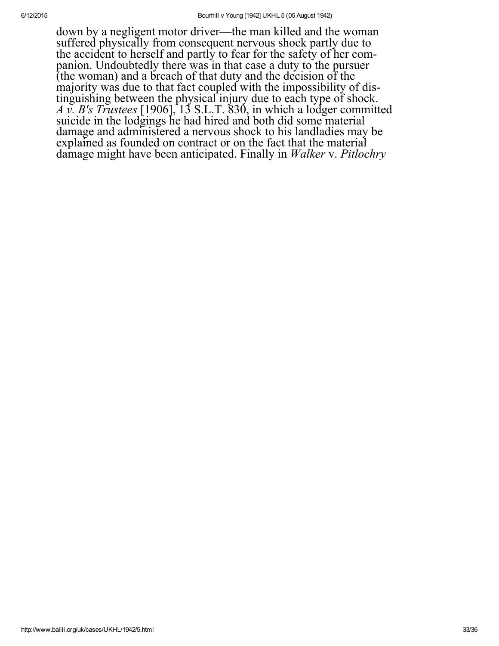6/12/2015 Bourhill v Young [1942] UKHL 5 (05 August 1942)

down by a negligent motor driver—the man killed and the woman suffered physically from consequent nervous shock partly due to the accident to herself and partly to fear for the safety of her companion. Undoubtedly there was in that case a duty to the pursuer (the woman) and a breach of that duty and the decision of the majority was due to that fact coupled with the impossibility of distinguishing between the physical injury due to each type of shock. A v. B's Trustees [1906], 13 S.L.T. 830, in which a lodger committed suicide in the lodgings he had hired and both did some material damage and administered a nervous shock to his landladies may be explained as founded on contract or on the fact that the material damage might have been anticipated. Finally in Walker v. Pitlochry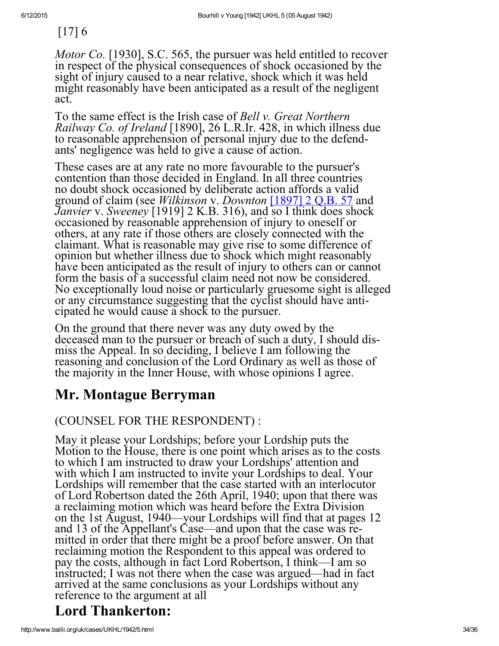### [17] 6

Motor Co. [1930], S.C. 565, the pursuer was held entitled to recover in respect of the physical consequences of shock occasioned by the sight of injury caused to a near relative, shock which it was held might reasonably have been anticipated as a result of the negligent act.

To the same effect is the Irish case of *Bell v. Great Northern* Railway Co. of Ireland [1890], 26 L.R.Ir. 428, in which illness due to reasonable apprehension of personal injury due to the defendants' negligence was held to give a cause of action.

These cases are at any rate no more favourable to the pursuer's contention than those decided in England. In all three countries no doubt shock occasioned by deliberate action affords a valid ground of claim (see *Wilkinson v. Downton* [\[1897\]](http://www.bailii.org/ew/cases/EWHC/QB/1897/1.html) 2 Q.B. 57 and Janvier v. Sweeney [1919] 2 K.B. 316), and so I think does shock occasioned by reasonable apprehension of injury to oneself or others, at any rate if those others are closely connected with the claimant. What is reasonable may give rise to some difference of opinion but whether illness due to shock which might reasonably have been anticipated as the result of injury to others can or cannot form the basis of a successful claim need not now be considered. No exceptionally loud noise or particularly gruesome sight is alleged or any circumstance suggesting that the cyclist should have anticipated he would cause a shock to the pursuer.

On the ground that there never was any duty owed by the deceased man to the pursuer or breach of such a duty, I should dismiss the Appeal. In so deciding, I believe I am following the reasoning and conclusion of the Lord Ordinary as well as those of the majority in the Inner House, with whose opinions I agree.

## Mr. Montague Berryman

### (COUNSEL FOR THE RESPONDENT) :

May it please your Lordships; before your Lordship puts the Motion to the House, there is one point which arises as to the costs to which I am instructed to draw your Lordships' attention and with which I am instructed to invite your Lordships to deal. Your Lordships will remember that the case started with an interlocutor of Lord Robertson dated the 26th April, 1940; upon that there was a reclaiming motion which was heard before the Extra Division on the 1st August, 1940—your Lordships will find that at pages 12 and 13 of the Appellant's Case—and upon that the case was remitted in order that there might be a proof before answer. On that reclaiming motion the Respondent to this appeal was ordered to pay the costs, although in fact Lord Robertson, I think—I am so instructed; I was not there when the case was argued—had in fact arrived at the same conclusions as your Lordships without any reference to the argument at all

# Lord Thankerton: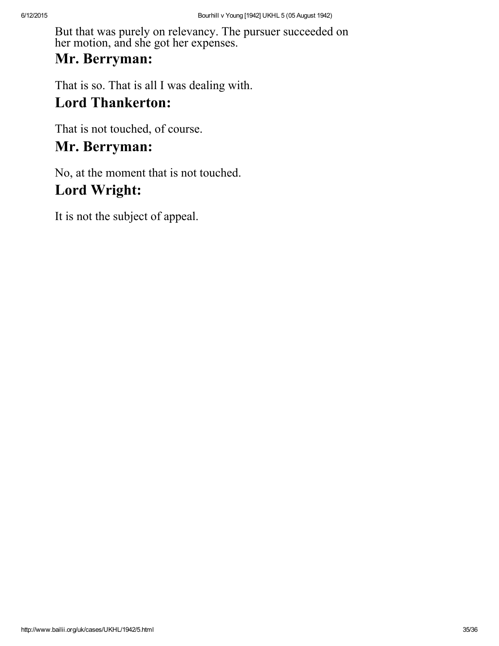But that was purely on relevancy. The pursuer succeeded on her motion, and she got her expenses.

## Mr. Berryman:

That is so. That is all I was dealing with.

## Lord Thankerton:

That is not touched, of course.

## Mr. Berryman:

No, at the moment that is not touched.

## Lord Wright:

It is not the subject of appeal.